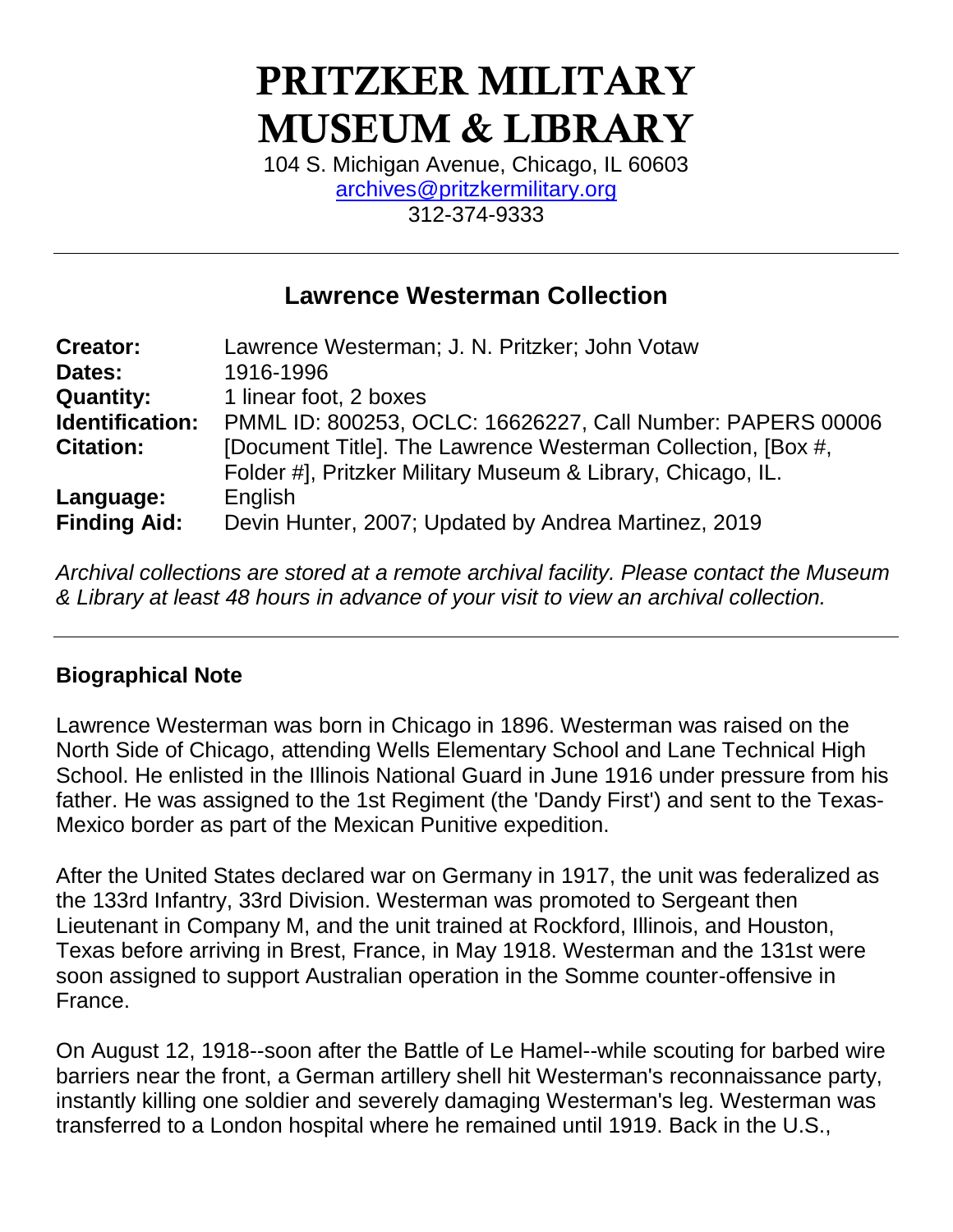# PRITZKER MILITARY MUSEUM & LIBRARY

104 S. Michigan Avenue, Chicago, IL 60603 [archives@pritzkermilitary.org](mailto:archives@pritzkermilitary.org) 312-374-9333

## **Lawrence Westerman Collection**

| <b>Creator:</b>     | Lawrence Westerman; J. N. Pritzker; John Votaw               |
|---------------------|--------------------------------------------------------------|
| Dates:              | 1916-1996                                                    |
| <b>Quantity:</b>    | 1 linear foot, 2 boxes                                       |
| Identification:     | PMML ID: 800253, OCLC: 16626227, Call Number: PAPERS 00006   |
| <b>Citation:</b>    | [Document Title]. The Lawrence Westerman Collection, [Box #, |
|                     | Folder #], Pritzker Military Museum & Library, Chicago, IL.  |
| Language:           | English                                                      |
| <b>Finding Aid:</b> | Devin Hunter, 2007; Updated by Andrea Martinez, 2019         |

*Archival collections are stored at a remote archival facility. Please contact the Museum & Library at least 48 hours in advance of your visit to view an archival collection.*

## **Biographical Note**

Lawrence Westerman was born in Chicago in 1896. Westerman was raised on the North Side of Chicago, attending Wells Elementary School and Lane Technical High School. He enlisted in the Illinois National Guard in June 1916 under pressure from his father. He was assigned to the 1st Regiment (the 'Dandy First') and sent to the Texas-Mexico border as part of the Mexican Punitive expedition.

After the United States declared war on Germany in 1917, the unit was federalized as the 133rd Infantry, 33rd Division. Westerman was promoted to Sergeant then Lieutenant in Company M, and the unit trained at Rockford, Illinois, and Houston, Texas before arriving in Brest, France, in May 1918. Westerman and the 131st were soon assigned to support Australian operation in the Somme counter-offensive in France.

On August 12, 1918--soon after the Battle of Le Hamel--while scouting for barbed wire barriers near the front, a German artillery shell hit Westerman's reconnaissance party, instantly killing one soldier and severely damaging Westerman's leg. Westerman was transferred to a London hospital where he remained until 1919. Back in the U.S.,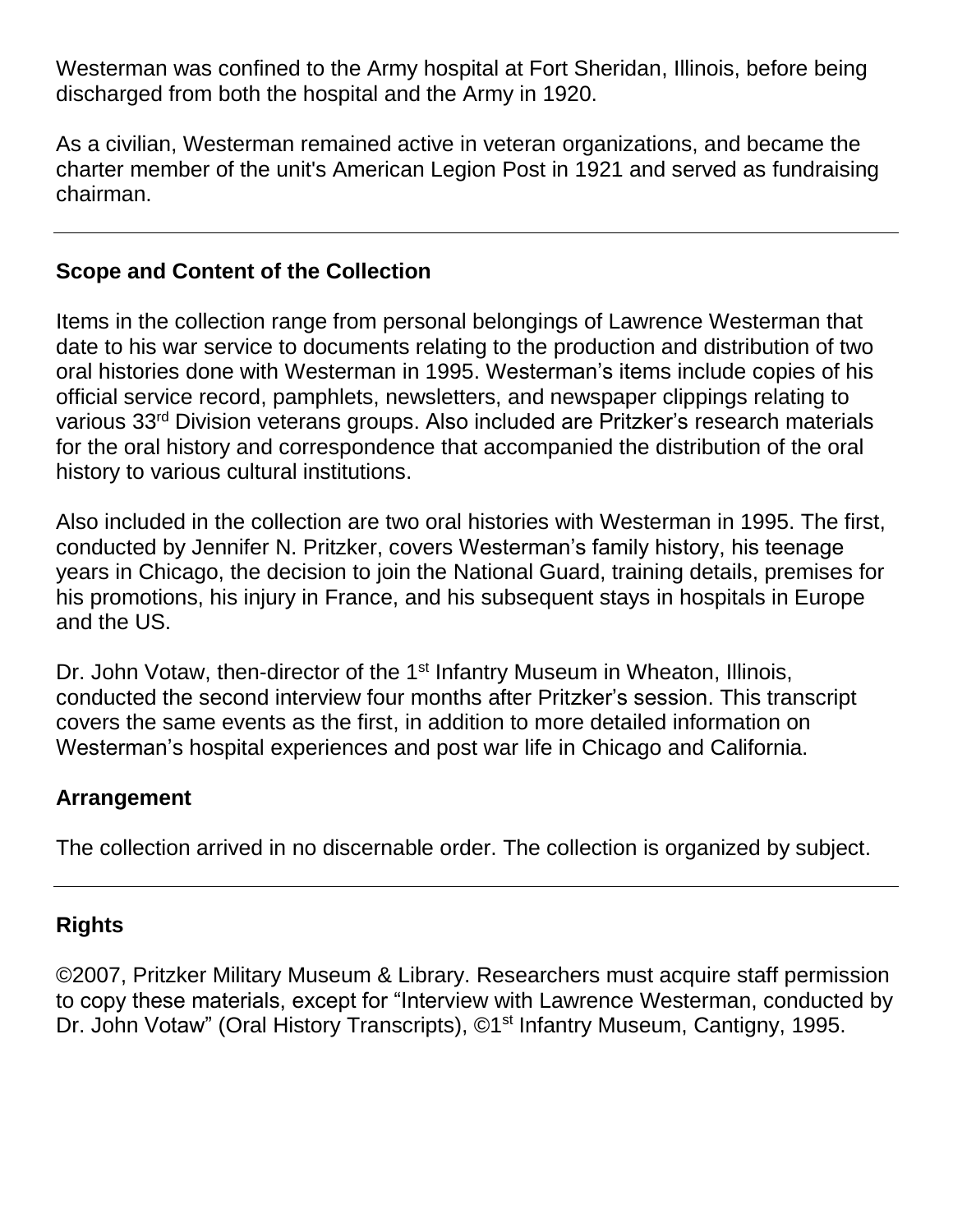Westerman was confined to the Army hospital at Fort Sheridan, Illinois, before being discharged from both the hospital and the Army in 1920.

As a civilian, Westerman remained active in veteran organizations, and became the charter member of the unit's American Legion Post in 1921 and served as fundraising chairman.

## **Scope and Content of the Collection**

Items in the collection range from personal belongings of Lawrence Westerman that date to his war service to documents relating to the production and distribution of two oral histories done with Westerman in 1995. Westerman's items include copies of his official service record, pamphlets, newsletters, and newspaper clippings relating to various 33rd Division veterans groups. Also included are Pritzker's research materials for the oral history and correspondence that accompanied the distribution of the oral history to various cultural institutions.

Also included in the collection are two oral histories with Westerman in 1995. The first, conducted by Jennifer N. Pritzker, covers Westerman's family history, his teenage years in Chicago, the decision to join the National Guard, training details, premises for his promotions, his injury in France, and his subsequent stays in hospitals in Europe and the US.

Dr. John Votaw, then-director of the 1<sup>st</sup> Infantry Museum in Wheaton, Illinois, conducted the second interview four months after Pritzker's session. This transcript covers the same events as the first, in addition to more detailed information on Westerman's hospital experiences and post war life in Chicago and California.

## **Arrangement**

The collection arrived in no discernable order. The collection is organized by subject.

## **Rights**

©2007, Pritzker Military Museum & Library. Researchers must acquire staff permission to copy these materials, except for "Interview with Lawrence Westerman, conducted by Dr. John Votaw" (Oral History Transcripts), ©1<sup>st</sup> Infantry Museum, Cantigny, 1995.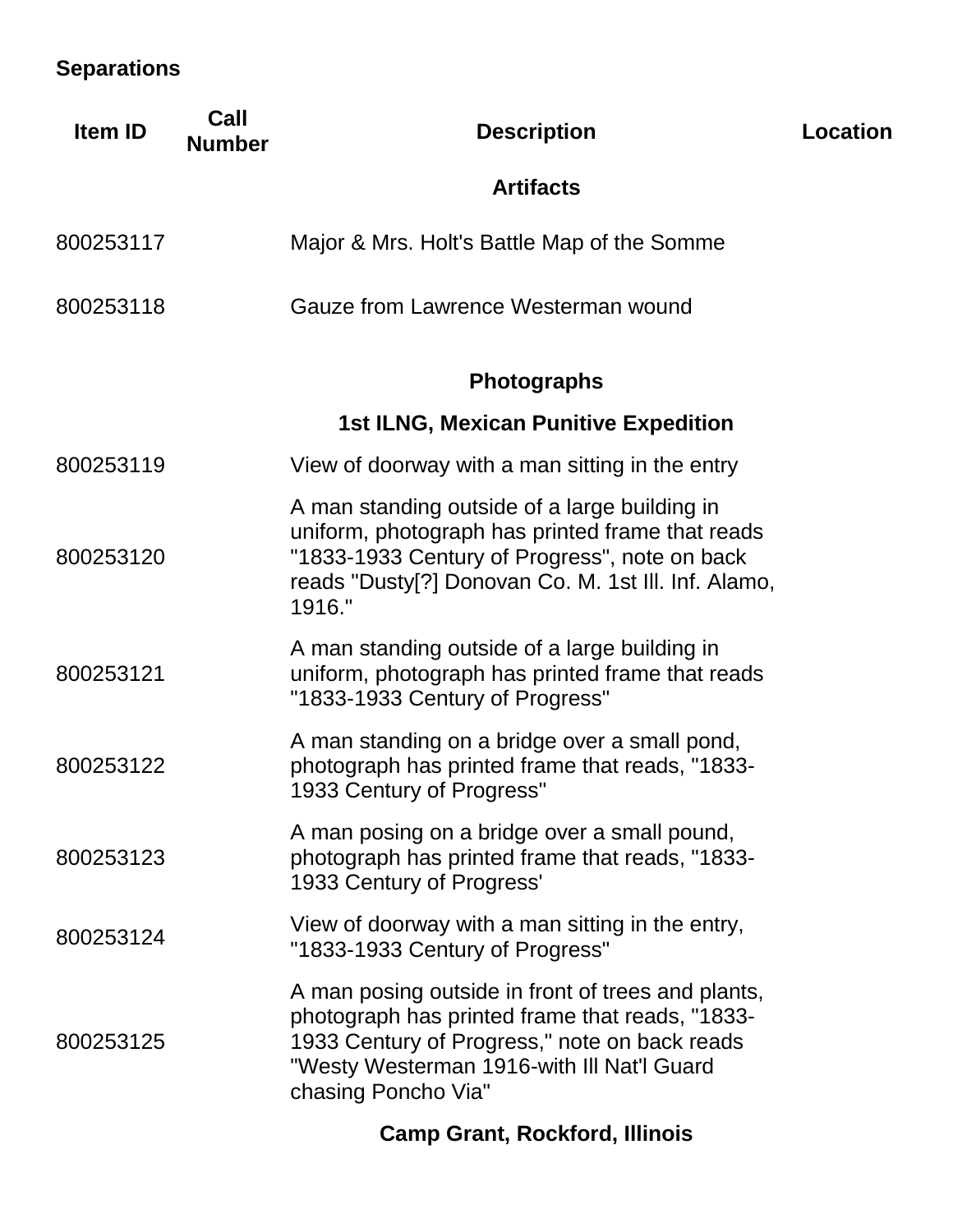## **Separations**

| <b>Item ID</b> | Call<br><b>Number</b> | <b>Description</b>                                                                                                                                                                                                          | Location |
|----------------|-----------------------|-----------------------------------------------------------------------------------------------------------------------------------------------------------------------------------------------------------------------------|----------|
|                |                       | <b>Artifacts</b>                                                                                                                                                                                                            |          |
| 800253117      |                       | Major & Mrs. Holt's Battle Map of the Somme                                                                                                                                                                                 |          |
| 800253118      |                       | Gauze from Lawrence Westerman wound                                                                                                                                                                                         |          |
|                |                       | <b>Photographs</b>                                                                                                                                                                                                          |          |
|                |                       | <b>1st ILNG, Mexican Punitive Expedition</b>                                                                                                                                                                                |          |
| 800253119      |                       | View of doorway with a man sitting in the entry                                                                                                                                                                             |          |
| 800253120      |                       | A man standing outside of a large building in<br>uniform, photograph has printed frame that reads<br>"1833-1933 Century of Progress", note on back<br>reads "Dusty[?] Donovan Co. M. 1st III. Inf. Alamo,<br>1916."         |          |
| 800253121      |                       | A man standing outside of a large building in<br>uniform, photograph has printed frame that reads<br>"1833-1933 Century of Progress"                                                                                        |          |
| 800253122      |                       | A man standing on a bridge over a small pond,<br>photograph has printed frame that reads, "1833-<br>1933 Century of Progress"                                                                                               |          |
| 800253123      |                       | A man posing on a bridge over a small pound,<br>photograph has printed frame that reads, "1833-<br>1933 Century of Progress'                                                                                                |          |
| 800253124      |                       | View of doorway with a man sitting in the entry,<br>"1833-1933 Century of Progress"                                                                                                                                         |          |
| 800253125      |                       | A man posing outside in front of trees and plants,<br>photograph has printed frame that reads, "1833-<br>1933 Century of Progress," note on back reads<br>"Westy Westerman 1916-with III Nat'l Guard<br>chasing Poncho Via" |          |
|                |                       | <b>Camp Grant, Rockford, Illinois</b>                                                                                                                                                                                       |          |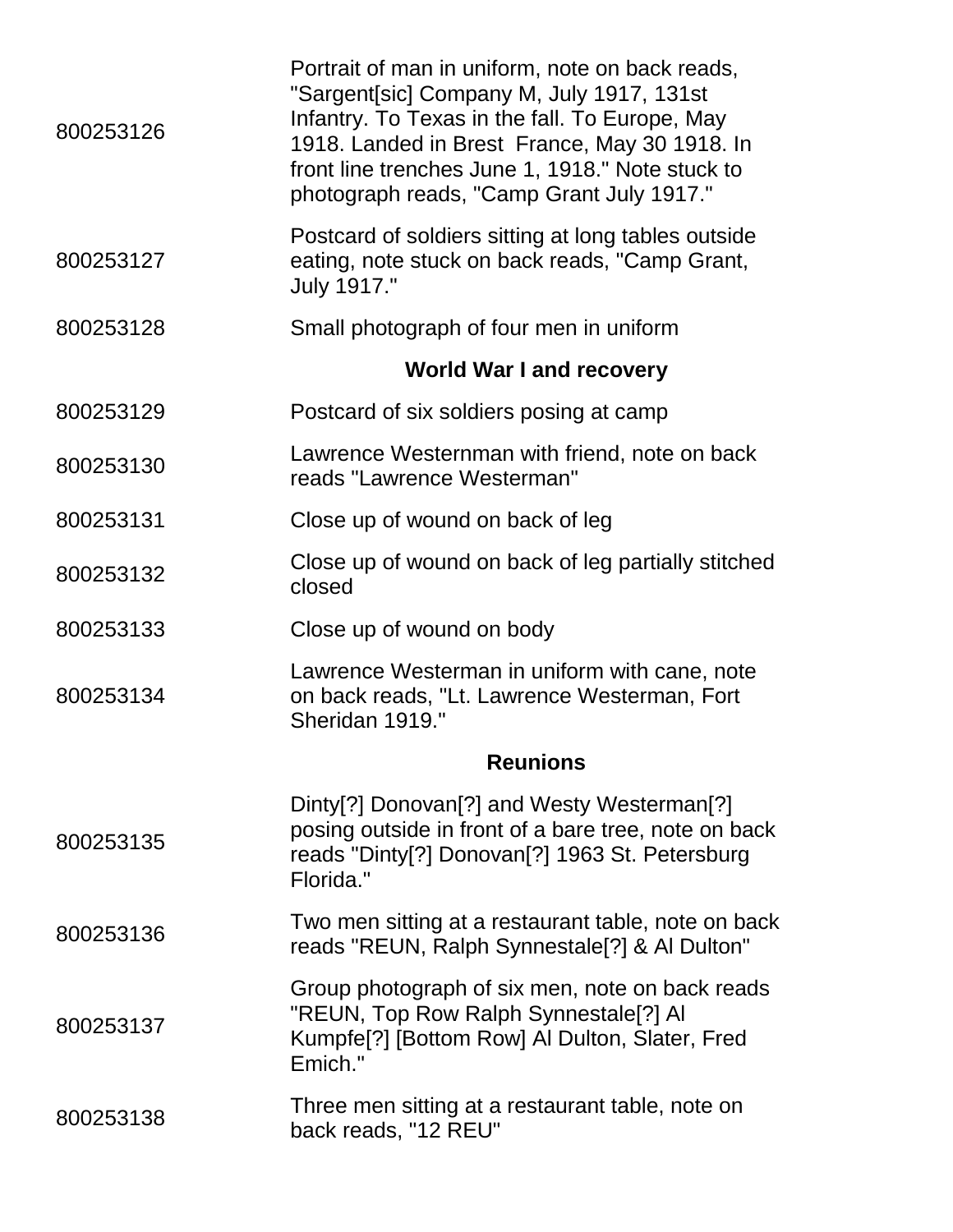| 800253126 | Portrait of man in uniform, note on back reads,<br>"Sargent[sic] Company M, July 1917, 131st<br>Infantry. To Texas in the fall. To Europe, May<br>1918. Landed in Brest France, May 30 1918. In<br>front line trenches June 1, 1918." Note stuck to<br>photograph reads, "Camp Grant July 1917." |
|-----------|--------------------------------------------------------------------------------------------------------------------------------------------------------------------------------------------------------------------------------------------------------------------------------------------------|
| 800253127 | Postcard of soldiers sitting at long tables outside<br>eating, note stuck on back reads, "Camp Grant,<br>July 1917."                                                                                                                                                                             |
| 800253128 | Small photograph of four men in uniform                                                                                                                                                                                                                                                          |
|           | <b>World War I and recovery</b>                                                                                                                                                                                                                                                                  |
| 800253129 | Postcard of six soldiers posing at camp                                                                                                                                                                                                                                                          |
| 800253130 | Lawrence Westernman with friend, note on back<br>reads "Lawrence Westerman"                                                                                                                                                                                                                      |
| 800253131 | Close up of wound on back of leg                                                                                                                                                                                                                                                                 |
| 800253132 | Close up of wound on back of leg partially stitched<br>closed                                                                                                                                                                                                                                    |
| 800253133 | Close up of wound on body                                                                                                                                                                                                                                                                        |
| 800253134 | Lawrence Westerman in uniform with cane, note<br>on back reads, "Lt. Lawrence Westerman, Fort<br>Sheridan 1919."                                                                                                                                                                                 |
|           | <b>Reunions</b>                                                                                                                                                                                                                                                                                  |
| 800253135 | Dinty[?] Donovan[?] and Westy Westerman[?]<br>posing outside in front of a bare tree, note on back<br>reads "Dinty[?] Donovan[?] 1963 St. Petersburg<br>Florida."                                                                                                                                |
| 800253136 | Two men sitting at a restaurant table, note on back<br>reads "REUN, Ralph Synnestale[?] & Al Dulton"                                                                                                                                                                                             |
| 800253137 | Group photograph of six men, note on back reads<br>"REUN, Top Row Ralph Synnestale[?] AI<br>Kumpfe <sup>[?]</sup> [Bottom Row] Al Dulton, Slater, Fred<br>Emich."                                                                                                                                |
| 800253138 | Three men sitting at a restaurant table, note on<br>back reads, "12 REU"                                                                                                                                                                                                                         |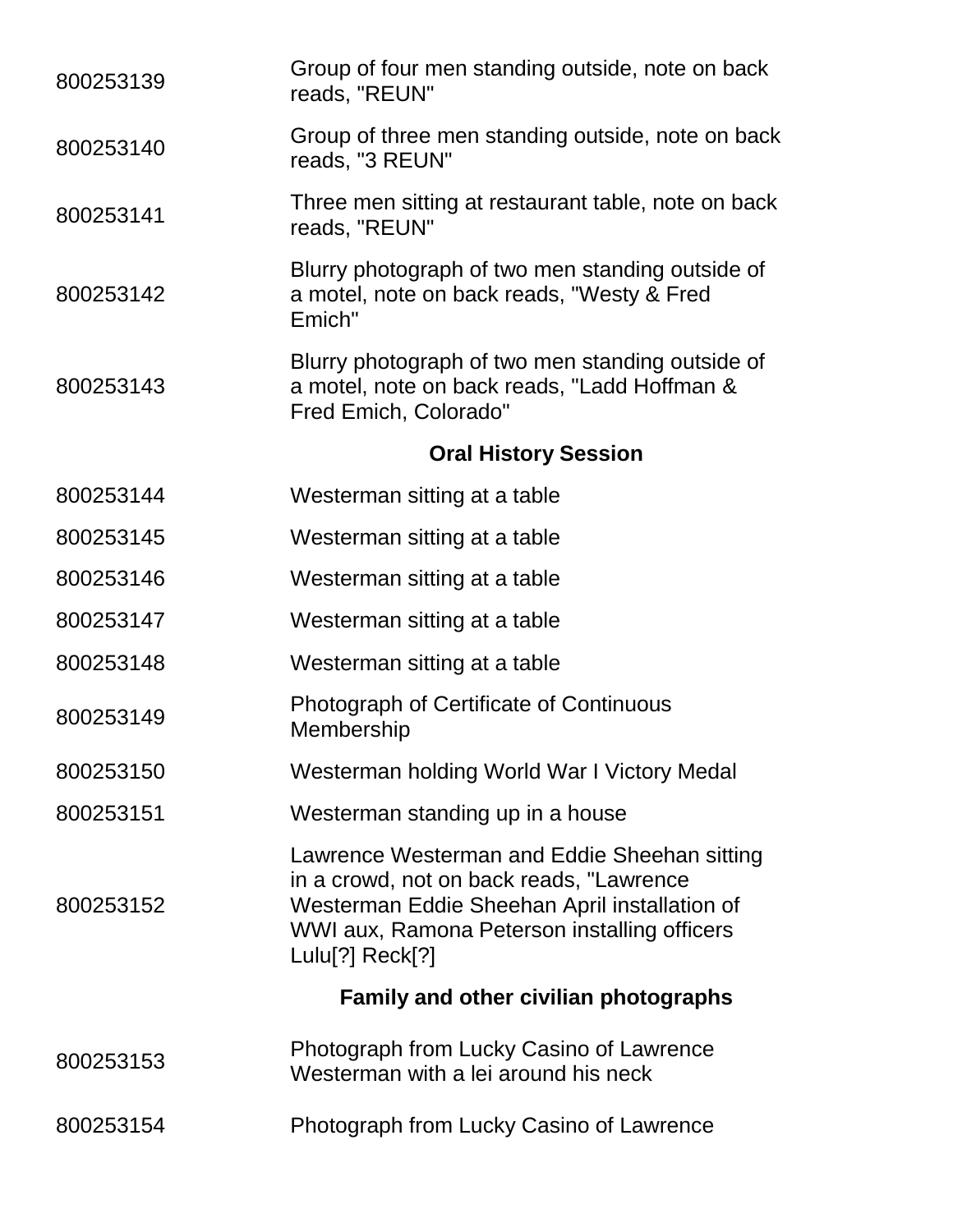| 800253139 | Group of four men standing outside, note on back<br>reads, "REUN"                                                                                                                                            |
|-----------|--------------------------------------------------------------------------------------------------------------------------------------------------------------------------------------------------------------|
| 800253140 | Group of three men standing outside, note on back<br>reads, "3 REUN"                                                                                                                                         |
| 800253141 | Three men sitting at restaurant table, note on back<br>reads, "REUN"                                                                                                                                         |
| 800253142 | Blurry photograph of two men standing outside of<br>a motel, note on back reads, "Westy & Fred<br>Emich"                                                                                                     |
| 800253143 | Blurry photograph of two men standing outside of<br>a motel, note on back reads, "Ladd Hoffman &<br>Fred Emich, Colorado"                                                                                    |
|           | <b>Oral History Session</b>                                                                                                                                                                                  |
| 800253144 | Westerman sitting at a table                                                                                                                                                                                 |
| 800253145 | Westerman sitting at a table                                                                                                                                                                                 |
| 800253146 | Westerman sitting at a table                                                                                                                                                                                 |
| 800253147 | Westerman sitting at a table                                                                                                                                                                                 |
| 800253148 | Westerman sitting at a table                                                                                                                                                                                 |
| 800253149 | <b>Photograph of Certificate of Continuous</b><br>Membership                                                                                                                                                 |
| 800253150 | Westerman holding World War I Victory Medal                                                                                                                                                                  |
| 800253151 | Westerman standing up in a house                                                                                                                                                                             |
| 800253152 | Lawrence Westerman and Eddie Sheehan sitting<br>in a crowd, not on back reads, "Lawrence<br>Westerman Eddie Sheehan April installation of<br>WWI aux, Ramona Peterson installing officers<br>Lulu[?] Reck[?] |
|           | <b>Family and other civilian photographs</b>                                                                                                                                                                 |
| 800253153 | Photograph from Lucky Casino of Lawrence<br>Westerman with a lei around his neck                                                                                                                             |
| 800253154 | Photograph from Lucky Casino of Lawrence                                                                                                                                                                     |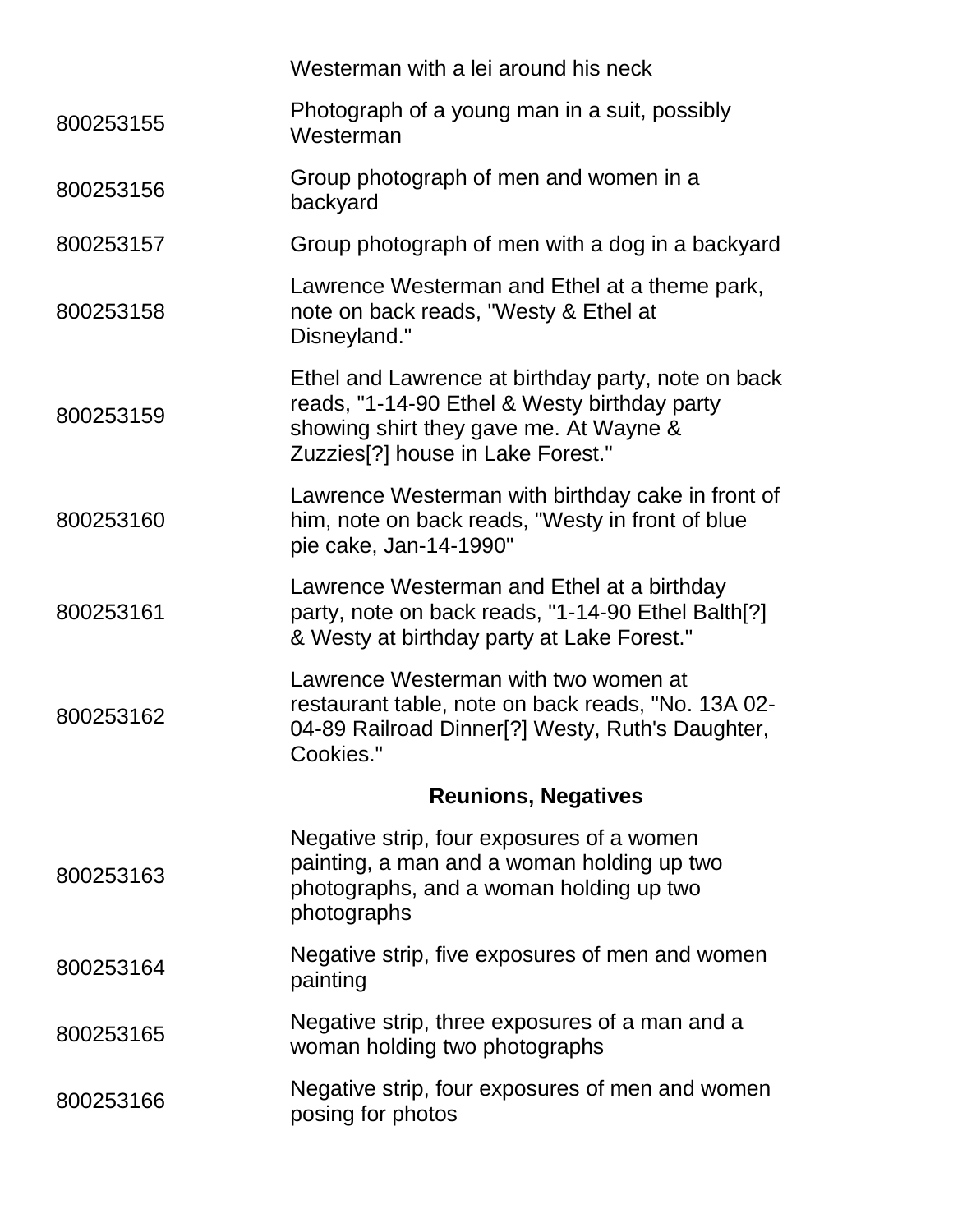|           | Westerman with a lei around his neck                                                                                                                                                          |
|-----------|-----------------------------------------------------------------------------------------------------------------------------------------------------------------------------------------------|
| 800253155 | Photograph of a young man in a suit, possibly<br>Westerman                                                                                                                                    |
| 800253156 | Group photograph of men and women in a<br>backyard                                                                                                                                            |
| 800253157 | Group photograph of men with a dog in a backyard                                                                                                                                              |
| 800253158 | Lawrence Westerman and Ethel at a theme park,<br>note on back reads, "Westy & Ethel at<br>Disneyland."                                                                                        |
| 800253159 | Ethel and Lawrence at birthday party, note on back<br>reads, "1-14-90 Ethel & Westy birthday party<br>showing shirt they gave me. At Wayne &<br>Zuzzies <sup>[?]</sup> house in Lake Forest." |
| 800253160 | Lawrence Westerman with birthday cake in front of<br>him, note on back reads, "Westy in front of blue<br>pie cake, Jan-14-1990"                                                               |
| 800253161 | Lawrence Westerman and Ethel at a birthday<br>party, note on back reads, "1-14-90 Ethel Balth[?]<br>& Westy at birthday party at Lake Forest."                                                |
| 800253162 | Lawrence Westerman with two women at<br>restaurant table, note on back reads, "No. 13A 02-<br>04-89 Railroad Dinner[?] Westy, Ruth's Daughter,<br>Cookies."                                   |
|           | <b>Reunions, Negatives</b>                                                                                                                                                                    |
| 800253163 | Negative strip, four exposures of a women<br>painting, a man and a woman holding up two<br>photographs, and a woman holding up two<br>photographs                                             |
| 800253164 | Negative strip, five exposures of men and women<br>painting                                                                                                                                   |
| 800253165 | Negative strip, three exposures of a man and a<br>woman holding two photographs                                                                                                               |
| 800253166 | Negative strip, four exposures of men and women<br>posing for photos                                                                                                                          |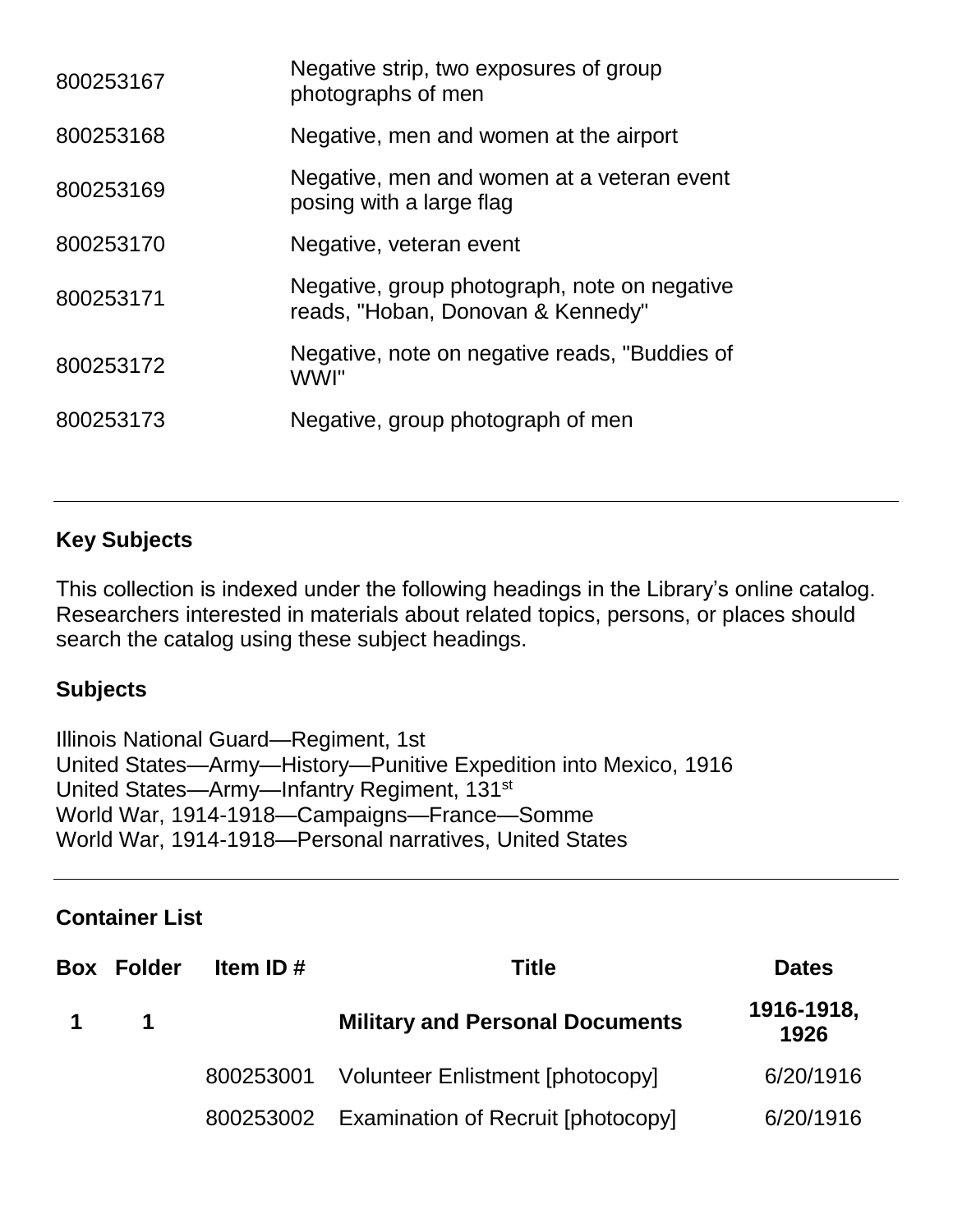| 800253167 | Negative strip, two exposures of group<br>photographs of men                      |
|-----------|-----------------------------------------------------------------------------------|
| 800253168 | Negative, men and women at the airport                                            |
| 800253169 | Negative, men and women at a veteran event<br>posing with a large flag            |
| 800253170 | Negative, veteran event                                                           |
| 800253171 | Negative, group photograph, note on negative<br>reads, "Hoban, Donovan & Kennedy" |
| 800253172 | Negative, note on negative reads, "Buddies of<br>WWI"                             |
| 800253173 | Negative, group photograph of men                                                 |
|           |                                                                                   |

## **Key Subjects**

This collection is indexed under the following headings in the Library's online catalog. Researchers interested in materials about related topics, persons, or places should search the catalog using these subject headings.

## **Subjects**

Illinois National Guard—Regiment, 1st United States—Army—History—Punitive Expedition into Mexico, 1916 United States—Army—Infantry Regiment, 131<sup>st</sup> World War, 1914-1918—Campaigns—France—Somme World War, 1914-1918—Personal narratives, United States

#### **Container List**

|             | <b>Box Folder</b> | Item ID# | <b>Title</b>                                 | <b>Dates</b>       |
|-------------|-------------------|----------|----------------------------------------------|--------------------|
| $\mathbf 1$ |                   |          | <b>Military and Personal Documents</b>       | 1916-1918,<br>1926 |
|             |                   |          | 800253001 Volunteer Enlistment [photocopy]   | 6/20/1916          |
|             |                   |          | 800253002 Examination of Recruit [photocopy] | 6/20/1916          |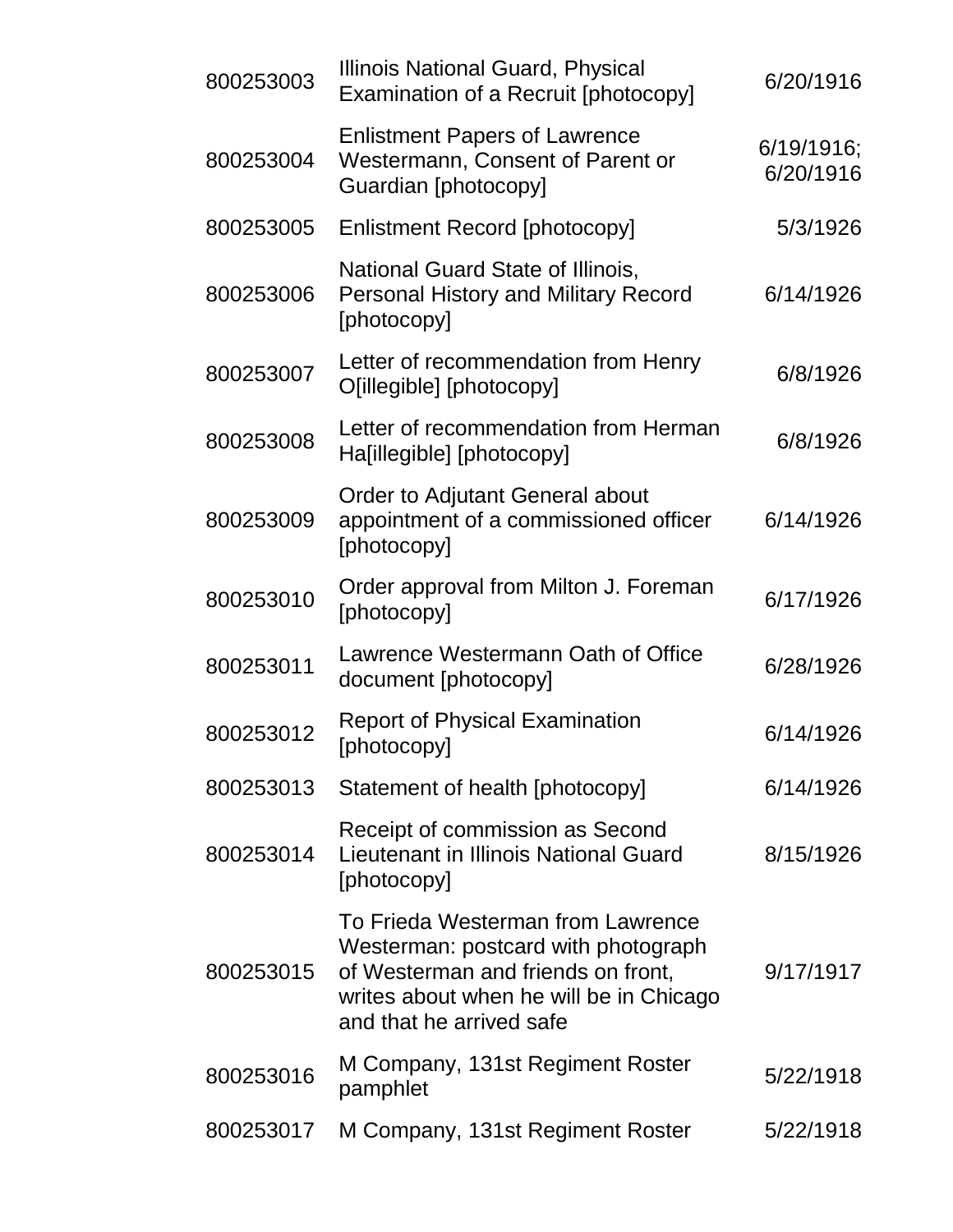| 800253003 | Illinois National Guard, Physical<br>Examination of a Recruit [photocopy]                                                                                                             | 6/20/1916               |
|-----------|---------------------------------------------------------------------------------------------------------------------------------------------------------------------------------------|-------------------------|
| 800253004 | <b>Enlistment Papers of Lawrence</b><br>Westermann, Consent of Parent or<br>Guardian [photocopy]                                                                                      | 6/19/1916;<br>6/20/1916 |
| 800253005 | <b>Enlistment Record [photocopy]</b>                                                                                                                                                  | 5/3/1926                |
| 800253006 | National Guard State of Illinois,<br><b>Personal History and Military Record</b><br>[photocopy]                                                                                       | 6/14/1926               |
| 800253007 | Letter of recommendation from Henry<br>O[illegible] [photocopy]                                                                                                                       | 6/8/1926                |
| 800253008 | Letter of recommendation from Herman<br>Ha[illegible] [photocopy]                                                                                                                     | 6/8/1926                |
| 800253009 | Order to Adjutant General about<br>appointment of a commissioned officer<br>[photocopy]                                                                                               | 6/14/1926               |
| 800253010 | Order approval from Milton J. Foreman<br>[photocopy]                                                                                                                                  | 6/17/1926               |
| 800253011 | Lawrence Westermann Oath of Office<br>document [photocopy]                                                                                                                            | 6/28/1926               |
| 800253012 | <b>Report of Physical Examination</b><br>[photocopy]                                                                                                                                  | 6/14/1926               |
| 800253013 | Statement of health [photocopy]                                                                                                                                                       | 6/14/1926               |
| 800253014 | Receipt of commission as Second<br><b>Lieutenant in Illinois National Guard</b><br>[photocopy]                                                                                        | 8/15/1926               |
| 800253015 | To Frieda Westerman from Lawrence<br>Westerman: postcard with photograph<br>of Westerman and friends on front,<br>writes about when he will be in Chicago<br>and that he arrived safe | 9/17/1917               |
| 800253016 | M Company, 131st Regiment Roster<br>pamphlet                                                                                                                                          | 5/22/1918               |
| 800253017 | M Company, 131st Regiment Roster                                                                                                                                                      | 5/22/1918               |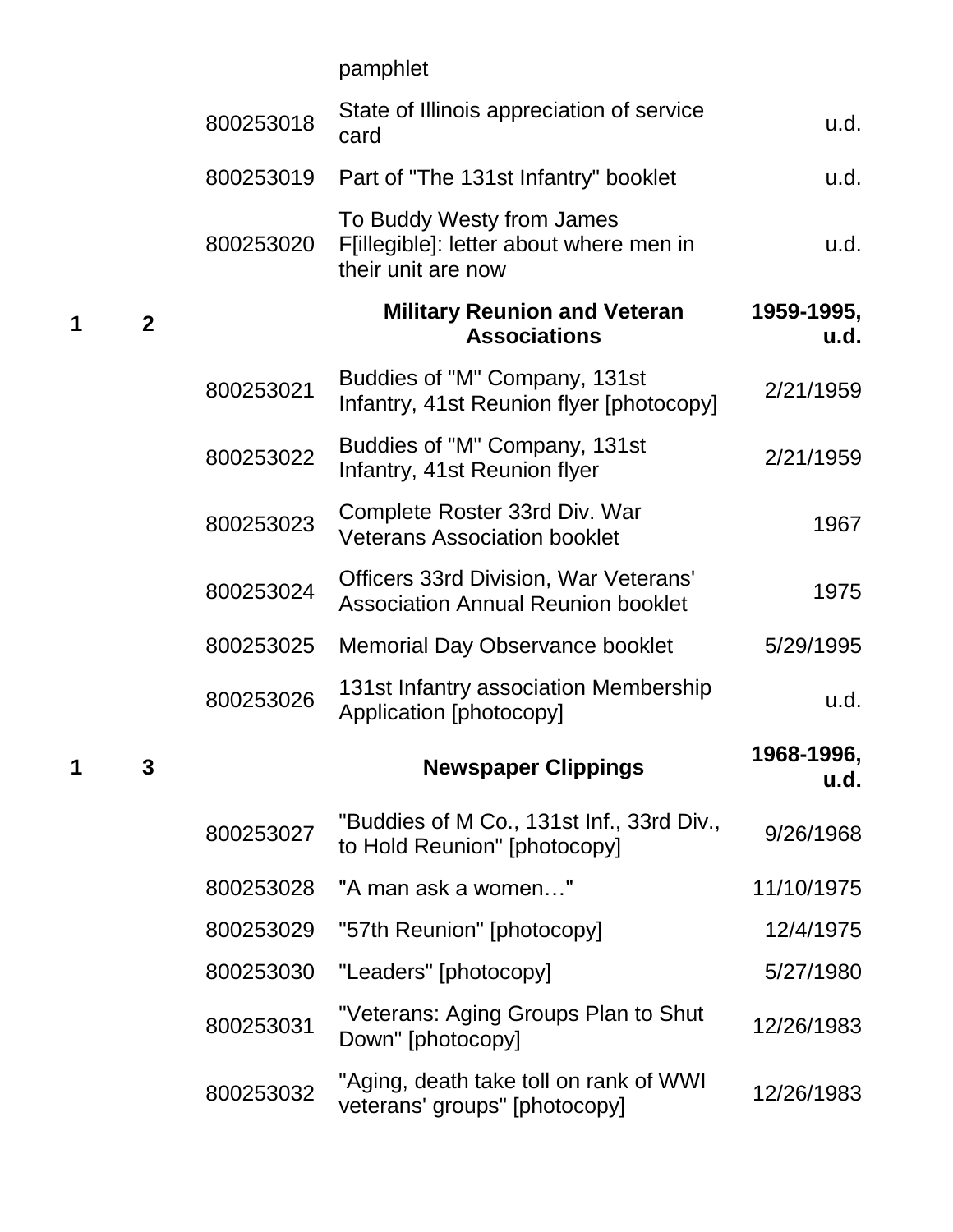pamphlet

**1 2**

|   |              | 800253018 | State of Illinois appreciation of service<br>card                                          | u.d.               |
|---|--------------|-----------|--------------------------------------------------------------------------------------------|--------------------|
|   |              | 800253019 | Part of "The 131st Infantry" booklet                                                       | u.d.               |
|   |              | 800253020 | To Buddy Westy from James<br>F[illegible]: letter about where men in<br>their unit are now | u.d.               |
| 1 | $\mathbf{2}$ |           | <b>Military Reunion and Veteran</b><br><b>Associations</b>                                 | 1959-1995,<br>u.d. |
|   |              | 800253021 | Buddies of "M" Company, 131st<br>Infantry, 41st Reunion flyer [photocopy]                  | 2/21/1959          |
|   |              | 800253022 | Buddies of "M" Company, 131st<br>Infantry, 41st Reunion flyer                              | 2/21/1959          |
|   |              | 800253023 | Complete Roster 33rd Div. War<br><b>Veterans Association booklet</b>                       | 1967               |
|   |              | 800253024 | <b>Officers 33rd Division, War Veterans'</b><br><b>Association Annual Reunion booklet</b>  | 1975               |
|   |              | 800253025 | <b>Memorial Day Observance booklet</b>                                                     | 5/29/1995          |
|   |              | 800253026 | 131st Infantry association Membership<br>Application [photocopy]                           | u.d.               |
| 1 | 3            |           | <b>Newspaper Clippings</b>                                                                 | 1968-1996,<br>u.d. |
|   |              | 800253027 | "Buddies of M Co., 131st Inf., 33rd Div.,<br>to Hold Reunion" [photocopy]                  | 9/26/1968          |
|   |              | 800253028 | "A man ask a women"                                                                        | 11/10/1975         |
|   |              | 800253029 | "57th Reunion" [photocopy]                                                                 | 12/4/1975          |
|   |              | 800253030 | "Leaders" [photocopy]                                                                      | 5/27/1980          |
|   |              | 800253031 | "Veterans: Aging Groups Plan to Shut<br>Down" [photocopy]                                  | 12/26/1983         |
|   |              | 800253032 | "Aging, death take toll on rank of WWI<br>veterans' groups" [photocopy]                    | 12/26/1983         |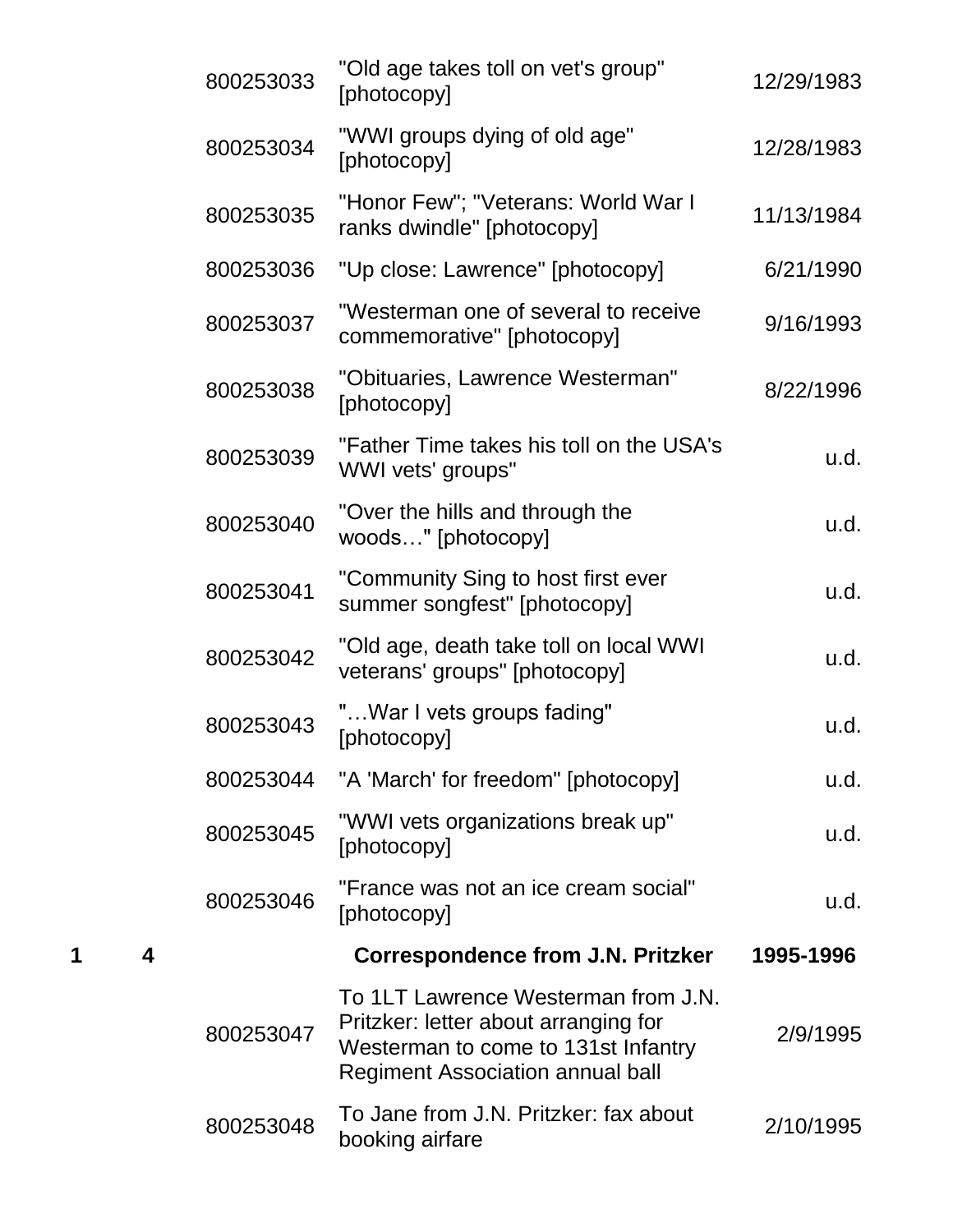|        | 800253033 | "Old age takes toll on vet's group"<br>[photocopy]                                                                                                            | 12/29/1983 |
|--------|-----------|---------------------------------------------------------------------------------------------------------------------------------------------------------------|------------|
|        | 800253034 | "WWI groups dying of old age"<br>[photocopy]                                                                                                                  | 12/28/1983 |
|        | 800253035 | "Honor Few"; "Veterans: World War I<br>ranks dwindle" [photocopy]                                                                                             | 11/13/1984 |
|        | 800253036 | "Up close: Lawrence" [photocopy]                                                                                                                              | 6/21/1990  |
|        | 800253037 | "Westerman one of several to receive<br>commemorative" [photocopy]                                                                                            | 9/16/1993  |
|        | 800253038 | "Obituaries, Lawrence Westerman"<br>[photocopy]                                                                                                               | 8/22/1996  |
|        | 800253039 | "Father Time takes his toll on the USA's<br>WWI vets' groups"                                                                                                 | u.d.       |
|        | 800253040 | "Over the hills and through the<br>woods" [photocopy]                                                                                                         | u.d.       |
|        | 800253041 | "Community Sing to host first ever<br>summer songfest" [photocopy]                                                                                            | u.d.       |
|        | 800253042 | "Old age, death take toll on local WWI<br>veterans' groups" [photocopy]                                                                                       | u.d.       |
|        | 800253043 | " War I vets groups fading"<br>[photocopy]                                                                                                                    | u.d.       |
|        | 800253044 | "A 'March' for freedom" [photocopy]                                                                                                                           | u.d.       |
|        | 800253045 | "WWI vets organizations break up"<br>[photocopy]                                                                                                              | u.d.       |
|        | 800253046 | "France was not an ice cream social"<br>[photocopy]                                                                                                           | u.d.       |
| 4<br>1 |           | <b>Correspondence from J.N. Pritzker</b>                                                                                                                      | 1995-1996  |
|        | 800253047 | To 1LT Lawrence Westerman from J.N.<br>Pritzker: letter about arranging for<br>Westerman to come to 131st Infantry<br><b>Regiment Association annual ball</b> | 2/9/1995   |
|        | 800253048 | To Jane from J.N. Pritzker: fax about<br>booking airfare                                                                                                      | 2/10/1995  |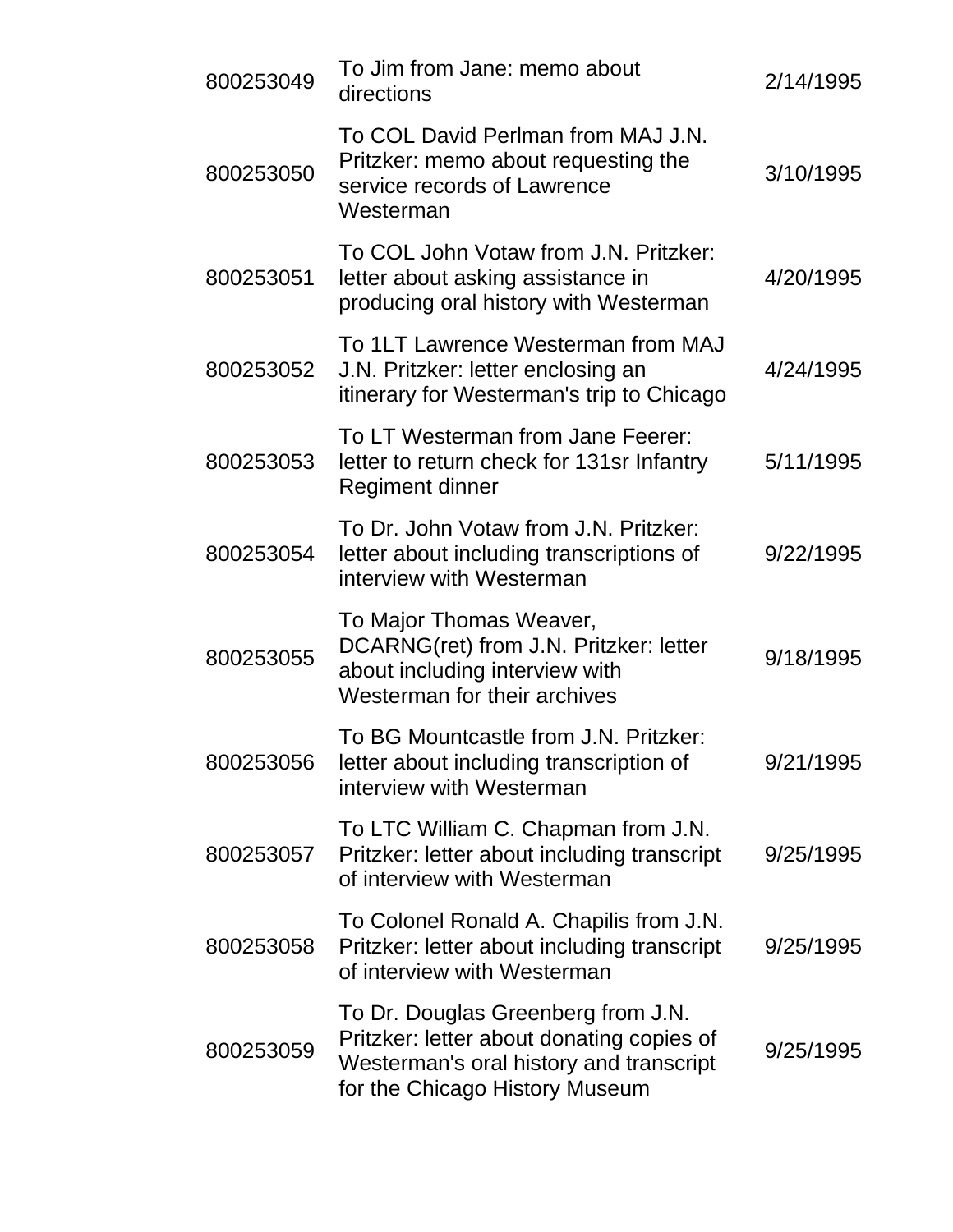| 800253049 | To Jim from Jane: memo about<br>directions                                                                                                                   | 2/14/1995 |
|-----------|--------------------------------------------------------------------------------------------------------------------------------------------------------------|-----------|
| 800253050 | To COL David Perlman from MAJ J.N.<br>Pritzker: memo about requesting the<br>service records of Lawrence<br>Westerman                                        | 3/10/1995 |
| 800253051 | To COL John Votaw from J.N. Pritzker:<br>letter about asking assistance in<br>producing oral history with Westerman                                          | 4/20/1995 |
| 800253052 | To 1LT Lawrence Westerman from MAJ<br>J.N. Pritzker: letter enclosing an<br>itinerary for Westerman's trip to Chicago                                        | 4/24/1995 |
| 800253053 | To LT Westerman from Jane Feerer:<br>letter to return check for 131sr Infantry<br>Regiment dinner                                                            | 5/11/1995 |
| 800253054 | To Dr. John Votaw from J.N. Pritzker:<br>letter about including transcriptions of<br>interview with Westerman                                                | 9/22/1995 |
| 800253055 | To Major Thomas Weaver,<br>DCARNG(ret) from J.N. Pritzker: letter<br>about including interview with<br>Westerman for their archives                          | 9/18/1995 |
| 800253056 | To BG Mountcastle from J.N. Pritzker:<br>letter about including transcription of<br>interview with Westerman                                                 | 9/21/1995 |
| 800253057 | To LTC William C. Chapman from J.N.<br>Pritzker: letter about including transcript<br>of interview with Westerman                                            | 9/25/1995 |
| 800253058 | To Colonel Ronald A. Chapilis from J.N.<br>Pritzker: letter about including transcript<br>of interview with Westerman                                        | 9/25/1995 |
| 800253059 | To Dr. Douglas Greenberg from J.N.<br>Pritzker: letter about donating copies of<br>Westerman's oral history and transcript<br>for the Chicago History Museum | 9/25/1995 |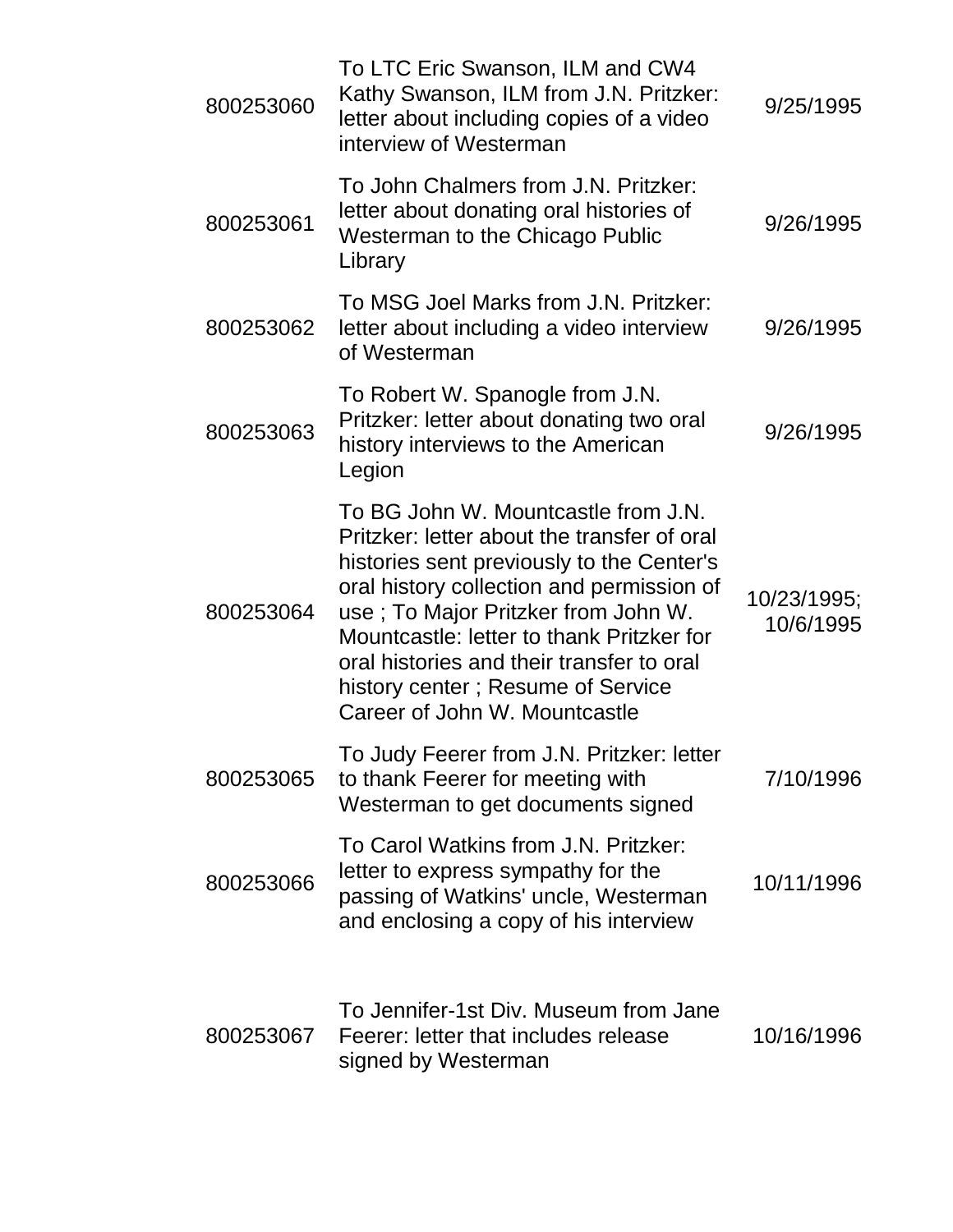| 800253060 | To LTC Eric Swanson, ILM and CW4<br>Kathy Swanson, ILM from J.N. Pritzker:<br>letter about including copies of a video<br>interview of Westerman                                                                                                                                                                                                                                    | 9/25/1995                |
|-----------|-------------------------------------------------------------------------------------------------------------------------------------------------------------------------------------------------------------------------------------------------------------------------------------------------------------------------------------------------------------------------------------|--------------------------|
| 800253061 | To John Chalmers from J.N. Pritzker:<br>letter about donating oral histories of<br><b>Westerman to the Chicago Public</b><br>Library                                                                                                                                                                                                                                                | 9/26/1995                |
| 800253062 | To MSG Joel Marks from J.N. Pritzker:<br>letter about including a video interview<br>of Westerman                                                                                                                                                                                                                                                                                   | 9/26/1995                |
| 800253063 | To Robert W. Spanogle from J.N.<br>Pritzker: letter about donating two oral<br>history interviews to the American<br>Legion                                                                                                                                                                                                                                                         | 9/26/1995                |
| 800253064 | To BG John W. Mountcastle from J.N.<br>Pritzker: letter about the transfer of oral<br>histories sent previously to the Center's<br>oral history collection and permission of<br>use; To Major Pritzker from John W.<br>Mountcastle: letter to thank Pritzker for<br>oral histories and their transfer to oral<br>history center; Resume of Service<br>Career of John W. Mountcastle | 10/23/1995;<br>10/6/1995 |
| 800253065 | To Judy Feerer from J.N. Pritzker: letter<br>to thank Feerer for meeting with<br>Westerman to get documents signed                                                                                                                                                                                                                                                                  | 7/10/1996                |
| 800253066 | To Carol Watkins from J.N. Pritzker:<br>letter to express sympathy for the<br>passing of Watkins' uncle, Westerman<br>and enclosing a copy of his interview                                                                                                                                                                                                                         | 10/11/1996               |
| 800253067 | To Jennifer-1st Div. Museum from Jane<br>Feerer: letter that includes release<br>signed by Westerman                                                                                                                                                                                                                                                                                | 10/16/1996               |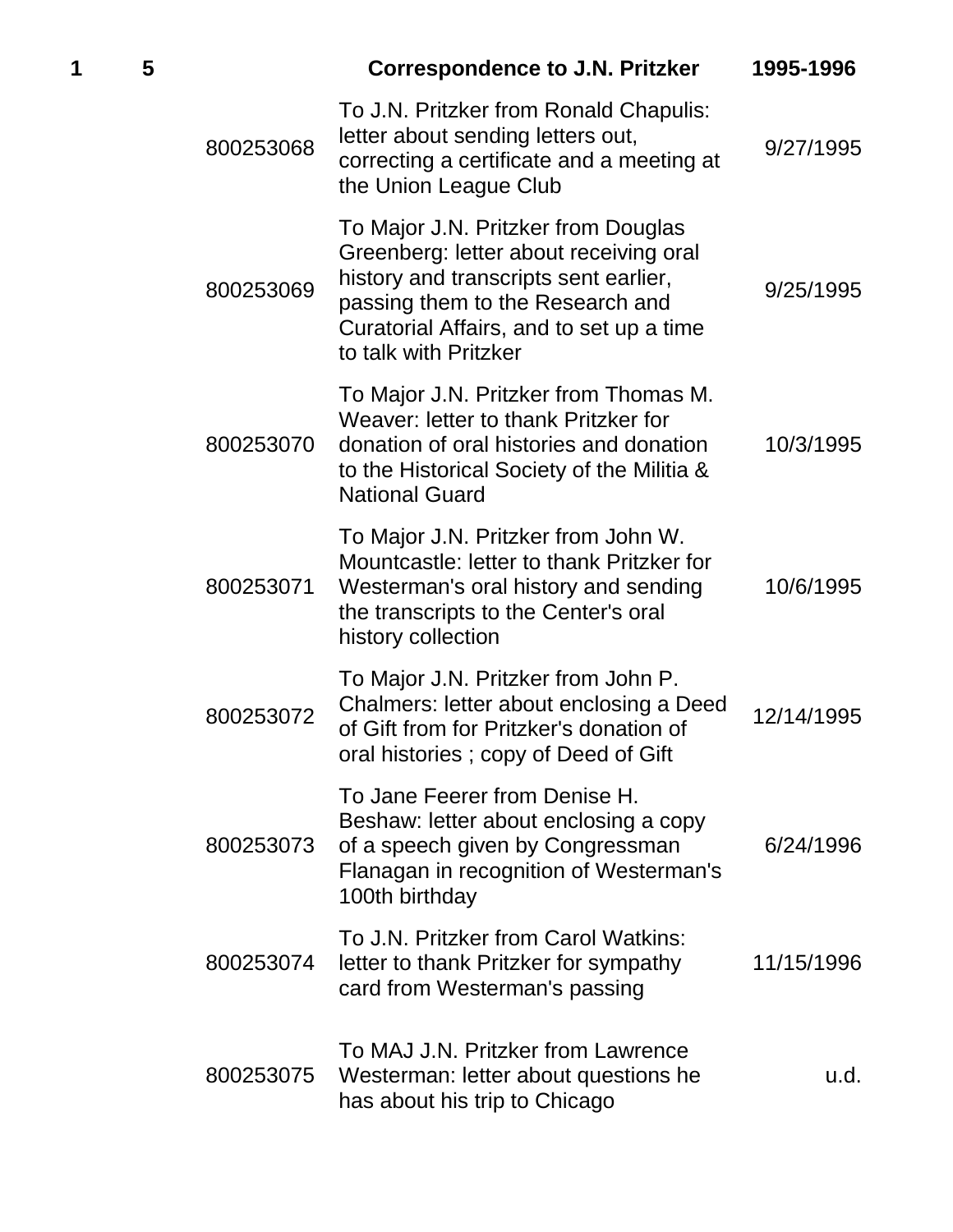| 1 | 5 |           | <b>Correspondence to J.N. Pritzker</b>                                                                                                                                                                                          | 1995-1996  |
|---|---|-----------|---------------------------------------------------------------------------------------------------------------------------------------------------------------------------------------------------------------------------------|------------|
|   |   | 800253068 | To J.N. Pritzker from Ronald Chapulis:<br>letter about sending letters out,<br>correcting a certificate and a meeting at<br>the Union League Club                                                                               | 9/27/1995  |
|   |   | 800253069 | To Major J.N. Pritzker from Douglas<br>Greenberg: letter about receiving oral<br>history and transcripts sent earlier,<br>passing them to the Research and<br>Curatorial Affairs, and to set up a time<br>to talk with Pritzker | 9/25/1995  |
|   |   | 800253070 | To Major J.N. Pritzker from Thomas M.<br>Weaver: letter to thank Pritzker for<br>donation of oral histories and donation<br>to the Historical Society of the Militia &<br><b>National Guard</b>                                 | 10/3/1995  |
|   |   | 800253071 | To Major J.N. Pritzker from John W.<br>Mountcastle: letter to thank Pritzker for<br>Westerman's oral history and sending<br>the transcripts to the Center's oral<br>history collection                                          | 10/6/1995  |
|   |   | 800253072 | To Major J.N. Pritzker from John P.<br>Chalmers: letter about enclosing a Deed<br>of Gift from for Pritzker's donation of<br>oral histories; copy of Deed of Gift                                                               | 12/14/1995 |
|   |   | 800253073 | To Jane Feerer from Denise H.<br>Beshaw: letter about enclosing a copy<br>of a speech given by Congressman<br>Flanagan in recognition of Westerman's<br>100th birthday                                                          | 6/24/1996  |
|   |   | 800253074 | To J.N. Pritzker from Carol Watkins:<br>letter to thank Pritzker for sympathy<br>card from Westerman's passing                                                                                                                  | 11/15/1996 |
|   |   | 800253075 | To MAJ J.N. Pritzker from Lawrence<br>Westerman: letter about questions he<br>has about his trip to Chicago                                                                                                                     | u.d.       |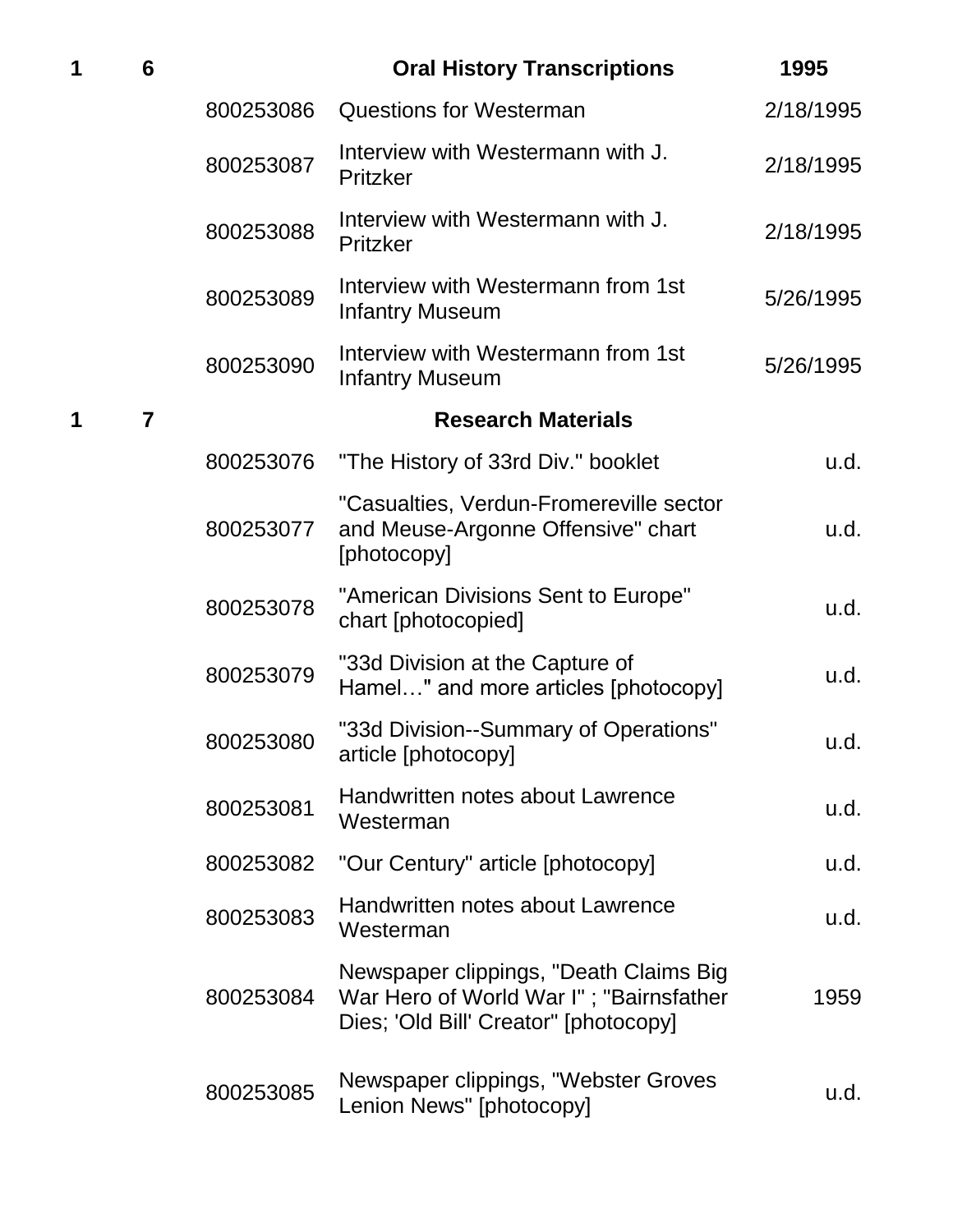| 1 | 6              |           | <b>Oral History Transcriptions</b>                                                                                         | 1995      |
|---|----------------|-----------|----------------------------------------------------------------------------------------------------------------------------|-----------|
|   |                | 800253086 | <b>Questions for Westerman</b>                                                                                             | 2/18/1995 |
|   |                | 800253087 | Interview with Westermann with J.<br>Pritzker                                                                              | 2/18/1995 |
|   |                | 800253088 | Interview with Westermann with J.<br>Pritzker                                                                              | 2/18/1995 |
|   |                | 800253089 | Interview with Westermann from 1st<br><b>Infantry Museum</b>                                                               | 5/26/1995 |
|   |                | 800253090 | Interview with Westermann from 1st<br><b>Infantry Museum</b>                                                               | 5/26/1995 |
| 1 | $\overline{7}$ |           | <b>Research Materials</b>                                                                                                  |           |
|   |                | 800253076 | "The History of 33rd Div." booklet                                                                                         | u.d.      |
|   |                | 800253077 | "Casualties, Verdun-Fromereville sector<br>and Meuse-Argonne Offensive" chart<br>[photocopy]                               | u.d.      |
|   |                | 800253078 | "American Divisions Sent to Europe"<br>chart [photocopied]                                                                 | u.d.      |
|   |                | 800253079 | "33d Division at the Capture of<br>Hamel" and more articles [photocopy]                                                    | u.d.      |
|   |                | 800253080 | "33d Division--Summary of Operations"<br>article [photocopy]                                                               | u.d.      |
|   |                | 800253081 | Handwritten notes about Lawrence<br>Westerman                                                                              | u.d.      |
|   |                | 800253082 | "Our Century" article [photocopy]                                                                                          | u.d.      |
|   |                | 800253083 | Handwritten notes about Lawrence<br>Westerman                                                                              | u.d.      |
|   |                | 800253084 | Newspaper clippings, "Death Claims Big<br>War Hero of World War I"; "Bairnsfather<br>Dies; 'Old Bill' Creator" [photocopy] | 1959      |
|   |                | 800253085 | Newspaper clippings, "Webster Groves<br>Lenion News" [photocopy]                                                           | u.d.      |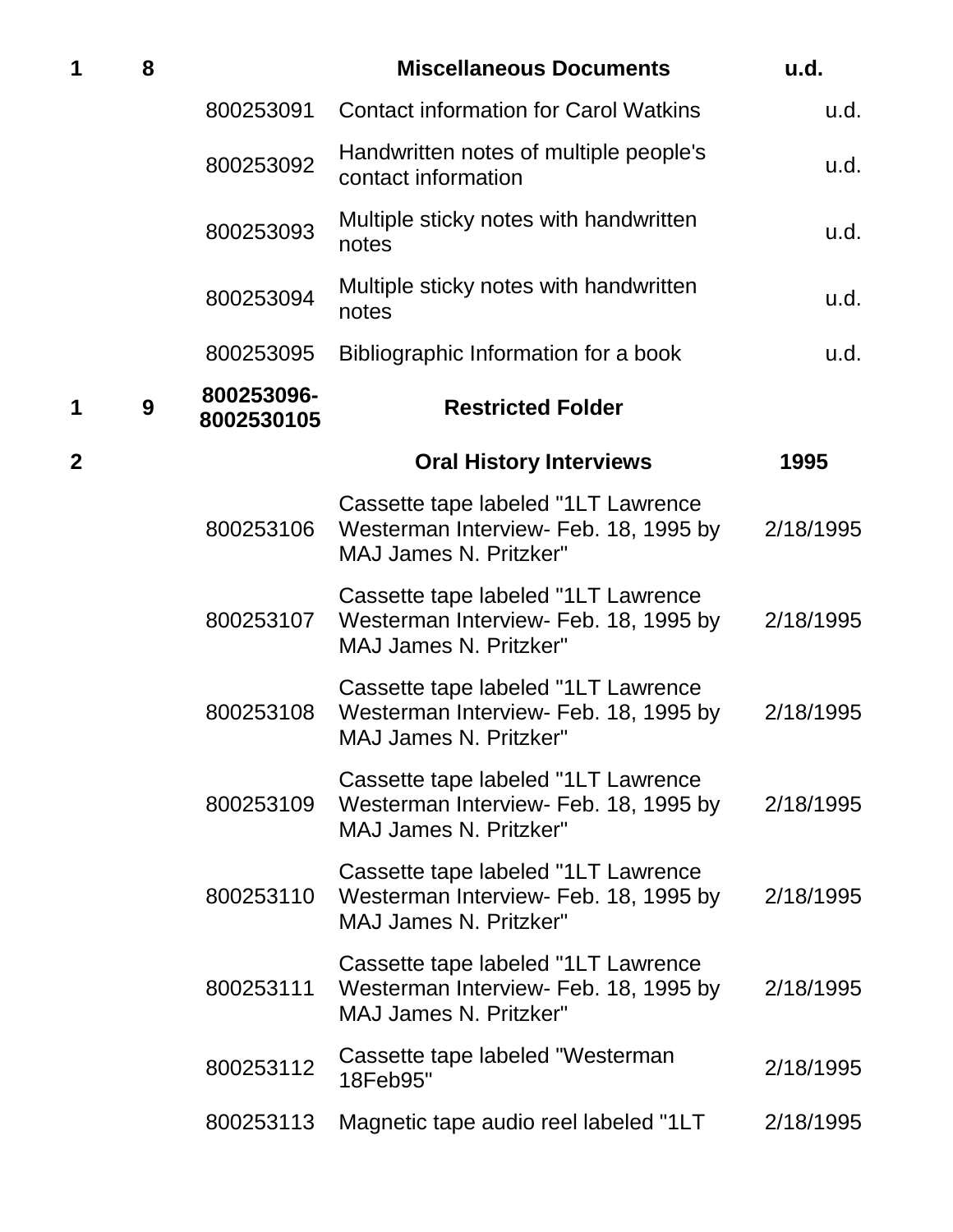| 1           | 8 |                          | <b>Miscellaneous Documents</b>                                                                                 | u.d.      |
|-------------|---|--------------------------|----------------------------------------------------------------------------------------------------------------|-----------|
|             |   | 800253091                | <b>Contact information for Carol Watkins</b>                                                                   | u.d.      |
|             |   | 800253092                | Handwritten notes of multiple people's<br>contact information                                                  | u.d.      |
|             |   | 800253093                | Multiple sticky notes with handwritten<br>notes                                                                | u.d.      |
|             |   | 800253094                | Multiple sticky notes with handwritten<br>notes                                                                | u.d.      |
|             |   | 800253095                | Bibliographic Information for a book                                                                           | u.d.      |
| 1           | 9 | 800253096-<br>8002530105 | <b>Restricted Folder</b>                                                                                       |           |
| $\mathbf 2$ |   |                          | <b>Oral History Interviews</b>                                                                                 | 1995      |
|             |   | 800253106                | Cassette tape labeled "1LT Lawrence<br>Westerman Interview- Feb. 18, 1995 by<br><b>MAJ James N. Pritzker"</b>  | 2/18/1995 |
|             |   | 800253107                | Cassette tape labeled "1LT Lawrence<br>Westerman Interview- Feb. 18, 1995 by<br><b>MAJ James N. Pritzker"</b>  | 2/18/1995 |
|             |   | 800253108                | Cassette tape labeled "1LT Lawrence<br>Westerman Interview- Feb. 18, 1995 by<br><b>MAJ James N. Pritzker"</b>  | 2/18/1995 |
|             |   | 800253109                | Cassette tape labeled "1LT Lawrence<br>Westerman Interview- Feb. 18, 1995 by<br><b>MAJ James N. Pritzker"</b>  | 2/18/1995 |
|             |   | 800253110                | Cassette tape labeled "1LT Lawrence<br>Westerman Interview- Feb. 18, 1995 by<br><b>MAJ James N. Pritzker"</b>  | 2/18/1995 |
|             |   | 800253111                | Cassette tape labeled "1LT Lawrence"<br>Westerman Interview- Feb. 18, 1995 by<br><b>MAJ James N. Pritzker"</b> | 2/18/1995 |
|             |   | 800253112                | Cassette tape labeled "Westerman<br>18Feb95"                                                                   | 2/18/1995 |
|             |   | 800253113                | Magnetic tape audio reel labeled "1LT                                                                          | 2/18/1995 |